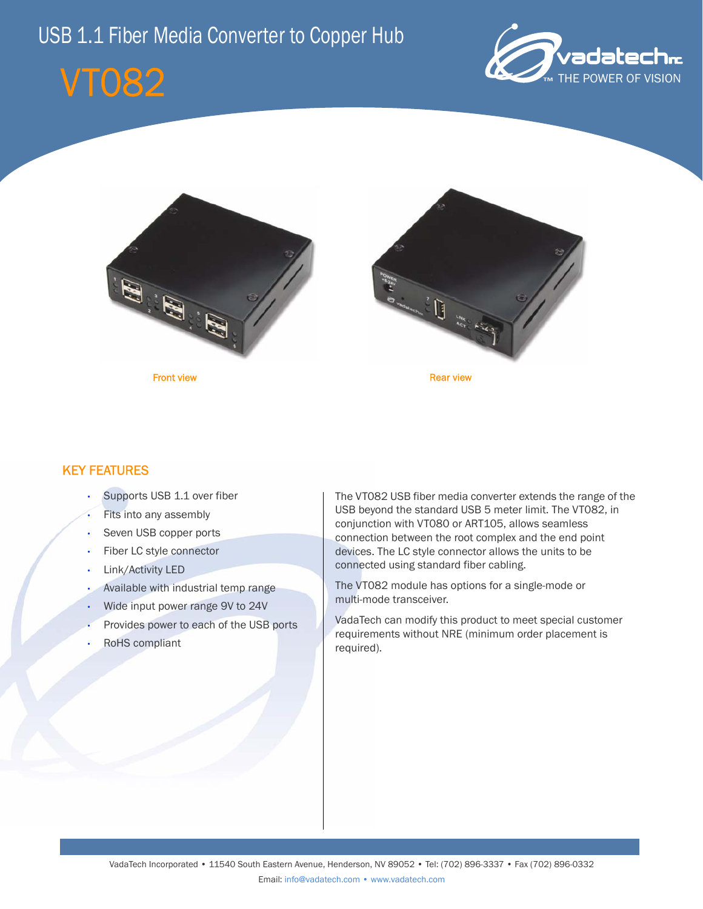## USB 1.1 Fiber Media Converter to Copper Hub









## KEY FEATURES

- Supports USB 1.1 over fiber
- Fits into any assembly
- Seven USB copper ports
- Fiber LC style connector
- Link/Activity LED
- Available with industrial temp range
- Wide input power range 9V to 24V
- Provides power to each of the USB ports
- RoHS compliant

The VT082 USB fiber media converter extends the range of the USB beyond the standard USB 5 meter limit. The VT082, in conjunction with VT080 or ART105, allows seamless connection between the root complex and the end point devices. The LC style connector allows the units to be connected using standard fiber cabling.

The VT082 module has options for a single-mode or multi-mode transceiver.

VadaTech can modify this product to meet special customer requirements without NRE (minimum order placement is required).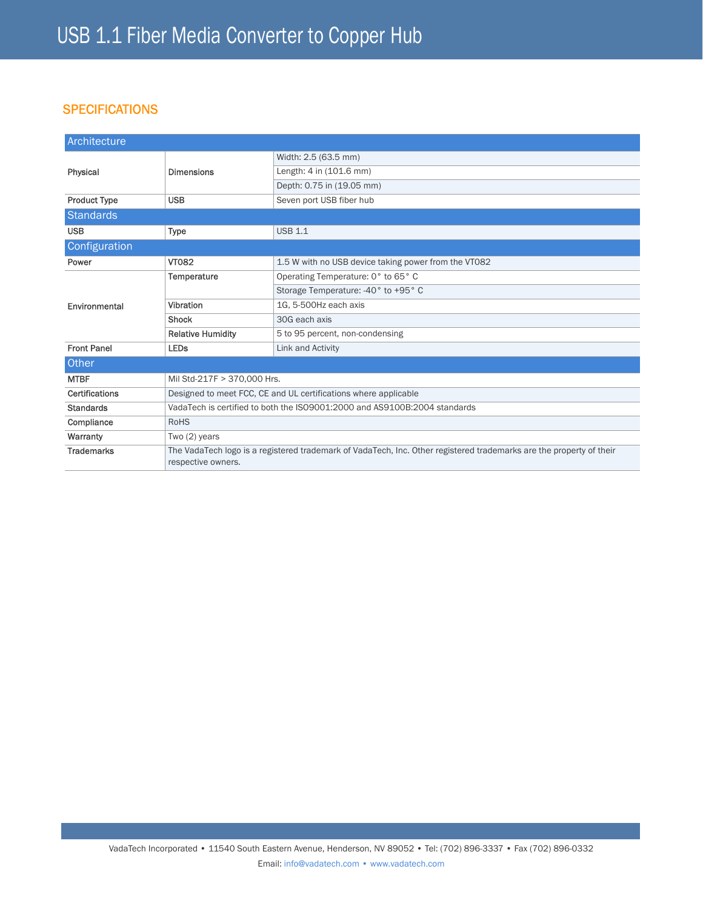## **SPECIFICATIONS**

| Architecture          |                                                                                                                                           |                                                      |
|-----------------------|-------------------------------------------------------------------------------------------------------------------------------------------|------------------------------------------------------|
| Physical              | <b>Dimensions</b>                                                                                                                         | Width: 2.5 (63.5 mm)                                 |
|                       |                                                                                                                                           | Length: 4 in (101.6 mm)                              |
|                       |                                                                                                                                           | Depth: 0.75 in (19.05 mm)                            |
| <b>Product Type</b>   | <b>USB</b>                                                                                                                                | Seven port USB fiber hub                             |
| <b>Standards</b>      |                                                                                                                                           |                                                      |
| <b>USB</b>            | <b>Type</b>                                                                                                                               | <b>USB 1.1</b>                                       |
| Configuration         |                                                                                                                                           |                                                      |
| Power                 | <b>VT082</b>                                                                                                                              | 1.5 W with no USB device taking power from the VT082 |
| Environmental         | <b>Temperature</b>                                                                                                                        | Operating Temperature: 0° to 65° C                   |
|                       |                                                                                                                                           | Storage Temperature: -40° to +95° C                  |
|                       | Vibration                                                                                                                                 | 1G. 5-500Hz each axis                                |
|                       | <b>Shock</b>                                                                                                                              | 30G each axis                                        |
|                       | <b>Relative Humidity</b>                                                                                                                  | 5 to 95 percent, non-condensing                      |
| <b>Front Panel</b>    | <b>LEDs</b>                                                                                                                               | Link and Activity                                    |
| Other                 |                                                                                                                                           |                                                      |
| <b>MTBF</b>           | Mil Std-217F > 370,000 Hrs.                                                                                                               |                                                      |
| <b>Certifications</b> | Designed to meet FCC, CE and UL certifications where applicable                                                                           |                                                      |
| <b>Standards</b>      | VadaTech is certified to both the ISO9001:2000 and AS9100B:2004 standards                                                                 |                                                      |
| Compliance            | <b>RoHS</b>                                                                                                                               |                                                      |
| Warranty              | Two (2) years                                                                                                                             |                                                      |
| <b>Trademarks</b>     | The VadaTech logo is a registered trademark of VadaTech, Inc. Other registered trademarks are the property of their<br>respective owners. |                                                      |